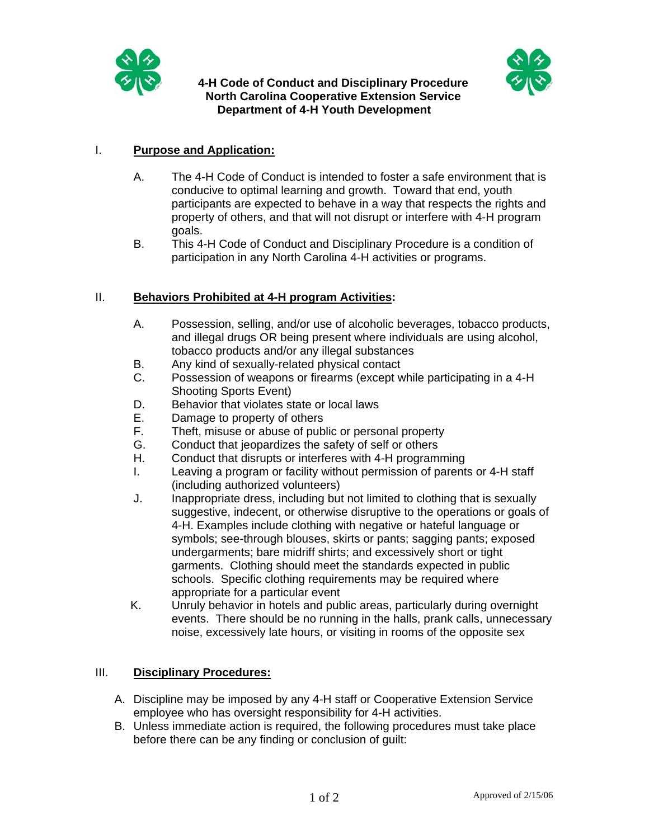

## **4-H Code of Conduct and Disciplinary Procedure North Carolina Cooperative Extension Service Department of 4-H Youth Development**



## I. **Purpose and Application:**

- A. The 4-H Code of Conduct is intended to foster a safe environment that is conducive to optimal learning and growth. Toward that end, youth participants are expected to behave in a way that respects the rights and property of others, and that will not disrupt or interfere with 4-H program goals.
- B. This 4-H Code of Conduct and Disciplinary Procedure is a condition of participation in any North Carolina 4-H activities or programs.

## II. **Behaviors Prohibited at 4-H program Activities:**

- A. Possession, selling, and/or use of alcoholic beverages, tobacco products, and illegal drugs OR being present where individuals are using alcohol, tobacco products and/or any illegal substances
- B. Any kind of sexually-related physical contact
- C. Possession of weapons or firearms (except while participating in a 4-H Shooting Sports Event)
- D. Behavior that violates state or local laws
- E. Damage to property of others
- F. Theft, misuse or abuse of public or personal property
- G. Conduct that jeopardizes the safety of self or others
- H. Conduct that disrupts or interferes with 4-H programming
- I. Leaving a program or facility without permission of parents or 4-H staff (including authorized volunteers)
- J. Inappropriate dress, including but not limited to clothing that is sexually suggestive, indecent, or otherwise disruptive to the operations or goals of 4-H. Examples include clothing with negative or hateful language or symbols; see-through blouses, skirts or pants; sagging pants; exposed undergarments; bare midriff shirts; and excessively short or tight garments. Clothing should meet the standards expected in public schools. Specific clothing requirements may be required where appropriate for a particular event
- K. Unruly behavior in hotels and public areas, particularly during overnight events. There should be no running in the halls, prank calls, unnecessary noise, excessively late hours, or visiting in rooms of the opposite sex

## III. **Disciplinary Procedures:**

- A. Discipline may be imposed by any 4-H staff or Cooperative Extension Service employee who has oversight responsibility for 4-H activities.
- B. Unless immediate action is required, the following procedures must take place before there can be any finding or conclusion of guilt: